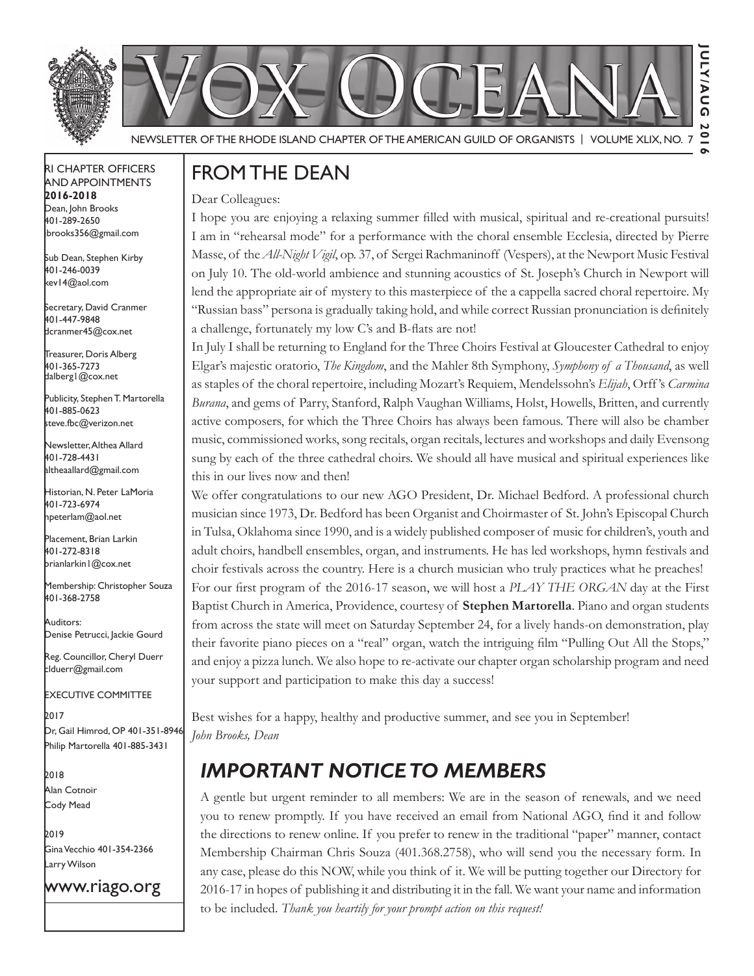



Newsletter of the Rhode Island Chapter of the American Guild of OrganistS | Volume XLIX, No. 7

#### RI Chapter Officers and Appointments **2016-2018** Dean, John Brooks 401-289-2650

Sub Dean, Stephen Kirby 401-246-0039 kev14@aol.com

jbrooks356@gmail.com

Secretary, David Cranmer 401-447-9848 dcranmer45@cox.net

Treasurer, Doris Alberg 401-365-7273 dalberg1@cox.net I

Publicity, Stephen T. Martorella 401-885-0623 steve.fbc@verizon.net

Newsletter, Althea Allard 401-728-4431 altheaallard@gmail.com

Historian, N. Peter LaMoria 401-723-6974 npeterlam@aol.net

Placement, Brian Larkin 401-272-8318 brianlarkin1@cox.net

Membership: Christopher Souza 401-368-2758

Auditors: Denise Petrucci, Jackie Gourd

Reg. Councillor, Cheryl Duerr clduerr@gmail.com

Executive Committee

2017 Dr, Gail Himrod, OP 401-351-8946 Philip Martorella 401-885-3431

2018 Alan Cotnoir Cody Mead

2019 Gina Vecchio 401-354-2366 Larry Wilson

www.riago.org

## From the Dean

Dear Colleagues:

I hope you are enjoying a relaxing summer filled with musical, spiritual and re-creational pursuits! I am in "rehearsal mode" for a performance with the choral ensemble Ecclesia, directed by Pierre Masse, of the *All-Night Vigil*, op. 37, of Sergei Rachmaninoff (Vespers), at the Newport Music Festival on July 10. The old-world ambience and stunning acoustics of St. Joseph's Church in Newport will lend the appropriate air of mystery to this masterpiece of the a cappella sacred choral repertoire. My "Russian bass" persona is gradually taking hold, and while correct Russian pronunciation is definitely a challenge, fortunately my low C's and B-flats are not!

In July I shall be returning to England for the Three Choirs Festival at Gloucester Cathedral to enjoy Elgar's majestic oratorio, *The Kingdom*, and the Mahler 8th Symphony, *Symphony of a Thousand*, as well as staples of the choral repertoire, including Mozart's Requiem, Mendelssohn's *Elijah*, Orff 's *Carmina Burana*, and gems of Parry, Stanford, Ralph Vaughan Williams, Holst, Howells, Britten, and currently active composers, for which the Three Choirs has always been famous. There will also be chamber music, commissioned works, song recitals, organ recitals, lectures and workshops and daily Evensong sung by each of the three cathedral choirs. We should all have musical and spiritual experiences like this in our lives now and then!

We offer congratulations to our new AGO President, Dr. Michael Bedford. A professional church musician since 1973, Dr. Bedford has been Organist and Choirmaster of St. John's Episcopal Church in Tulsa, Oklahoma since 1990, and is a widely published composer of music for children's, youth and adult choirs, handbell ensembles, organ, and instruments. He has led workshops, hymn festivals and choir festivals across the country. Here is a church musician who truly practices what he preaches! For our first program of the 2016-17 season, we will host a *PLAY THE ORGAN* day at the First Baptist Church in America, Providence, courtesy of **Stephen Martorella**. Piano and organ students from across the state will meet on Saturday September 24, for a lively hands-on demonstration, play their favorite piano pieces on a "real" organ, watch the intriguing film "Pulling Out All the Stops," and enjoy a pizza lunch. We also hope to re-activate our chapter organ scholarship program and need your support and participation to make this day a success!

Best wishes for a happy, healthy and productive summer, and see you in September! *John Brooks, Dean*

# *Important Notice to Members*

A gentle but urgent reminder to all members: We are in the season of renewals, and we need you to renew promptly. If you have received an email from National AGO, find it and follow the directions to renew online. If you prefer to renew in the traditional "paper" manner, contact Membership Chairman Chris Souza (401.368.2758), who will send you the necessary form. In any case, please do this NOW, while you think of it. We will be putting together our Directory for 2016-17 in hopes of publishing it and distributing it in the fall. We want your name and information to be included. *Thank you heartily for your prompt action on this request!*